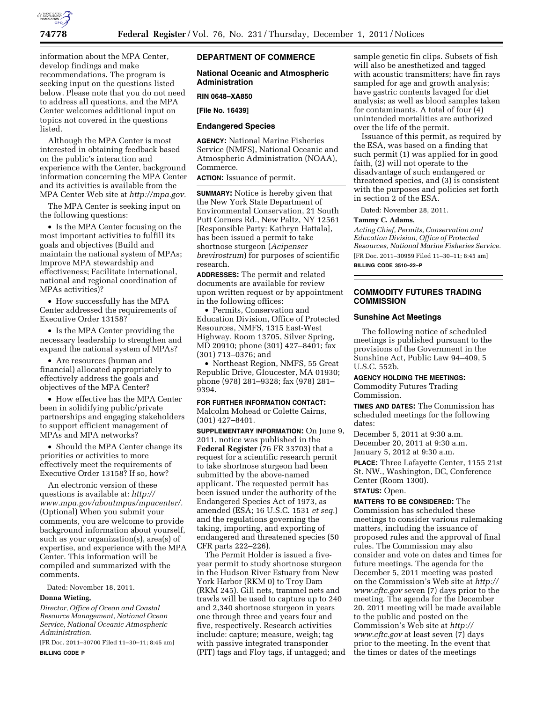

information about the MPA Center, develop findings and make recommendations. The program is seeking input on the questions listed below. Please note that you do not need to address all questions, and the MPA Center welcomes additional input on topics not covered in the questions listed.

Although the MPA Center is most interested in obtaining feedback based on the public's interaction and experience with the Center, background information concerning the MPA Center and its activities is available from the MPA Center Web site at *[http://mpa.gov.](http://mpa.gov)* 

The MPA Center is seeking input on the following questions:

• Is the MPA Center focusing on the most important activities to fulfill its goals and objectives (Build and maintain the national system of MPAs; Improve MPA stewardship and effectiveness; Facilitate international, national and regional coordination of MPAs activities)?

• How successfully has the MPA Center addressed the requirements of Executive Order 13158?

• Is the MPA Center providing the necessary leadership to strengthen and expand the national system of MPAs?

• Are resources (human and financial) allocated appropriately to effectively address the goals and objectives of the MPA Center?

• How effective has the MPA Center been in solidifying public/private partnerships and engaging stakeholders to support efficient management of MPAs and MPA networks?

• Should the MPA Center change its priorities or activities to more effectively meet the requirements of Executive Order 13158? If so, how?

An electronic version of these questions is available at: *[http://](http://www.mpa.gov/aboutmpas/mpacenter/)  [www.mpa.gov/aboutmpas/mpacenter/.](http://www.mpa.gov/aboutmpas/mpacenter/)*  (Optional) When you submit your comments, you are welcome to provide background information about yourself, such as your organization(s), area(s) of expertise, and experience with the MPA Center. This information will be compiled and summarized with the comments.

Dated: November 18, 2011.

# **Donna Wieting,**

*Director, Office of Ocean and Coastal Resource Management, National Ocean Service, National Oceanic Atmospheric Administration.* 

[FR Doc. 2011–30700 Filed 11–30–11; 8:45 am] **BILLING CODE P** 

# **DEPARTMENT OF COMMERCE**

## **National Oceanic and Atmospheric Administration**

# **RIN 0648–XA850**

**[File No. 16439]** 

### **Endangered Species**

**AGENCY:** National Marine Fisheries Service (NMFS), National Oceanic and Atmospheric Administration (NOAA), Commerce.

**ACTION:** Issuance of permit.

**SUMMARY:** Notice is hereby given that the New York State Department of Environmental Conservation, 21 South Putt Corners Rd., New Paltz, NY 12561 [Responsible Party: Kathryn Hattala], has been issued a permit to take shortnose sturgeon (*Acipenser brevirostrum*) for purposes of scientific research.

**ADDRESSES:** The permit and related documents are available for review upon written request or by appointment in the following offices:

• Permits, Conservation and Education Division, Office of Protected Resources, NMFS, 1315 East-West Highway, Room 13705, Silver Spring, MD 20910; phone (301) 427–8401; fax (301) 713–0376; and

• Northeast Region, NMFS, 55 Great Republic Drive, Gloucester, MA 01930; phone (978) 281–9328; fax (978) 281– 9394.

#### **FOR FURTHER INFORMATION CONTACT:**

Malcolm Mohead or Colette Cairns, (301) 427–8401.

**SUPPLEMENTARY INFORMATION:** On June 9, 2011, notice was published in the **Federal Register** (76 FR 33703) that a request for a scientific research permit to take shortnose sturgeon had been submitted by the above-named applicant. The requested permit has been issued under the authority of the Endangered Species Act of 1973, as amended (ESA; 16 U.S.C. 1531 *et seq.*) and the regulations governing the taking, importing, and exporting of endangered and threatened species (50 CFR parts 222–226).

The Permit Holder is issued a fiveyear permit to study shortnose sturgeon in the Hudson River Estuary from New York Harbor (RKM 0) to Troy Dam (RKM 245). Gill nets, trammel nets and trawls will be used to capture up to 240 and 2,340 shortnose sturgeon in years one through three and years four and five, respectively. Research activities include: capture; measure, weigh; tag with passive integrated transponder (PIT) tags and Floy tags, if untagged; and

sample genetic fin clips. Subsets of fish will also be anesthetized and tagged with acoustic transmitters; have fin rays sampled for age and growth analysis; have gastric contents lavaged for diet analysis; as well as blood samples taken for contaminants. A total of four (4) unintended mortalities are authorized over the life of the permit.

Issuance of this permit, as required by the ESA, was based on a finding that such permit (1) was applied for in good faith, (2) will not operate to the disadvantage of such endangered or threatened species, and (3) is consistent with the purposes and policies set forth in section 2 of the ESA.

Dated: November 28, 2011.

### **Tammy C. Adams,**

*Acting Chief, Permits, Conservation and Education Division, Office of Protected Resources, National Marine Fisheries Service.*  [FR Doc. 2011–30959 Filed 11–30–11; 8:45 am]

**BILLING CODE 3510–22–P** 

# **COMMODITY FUTURES TRADING COMMISSION**

### **Sunshine Act Meetings**

The following notice of scheduled meetings is published pursuant to the provisions of the Government in the Sunshine Act, Public Law 94–409, 5 U.S.C. 552b.

### **AGENCY HOLDING THE MEETINGS:**

Commodity Futures Trading Commission.

**TIMES AND DATES:** The Commission has scheduled meetings for the following dates:

December 5, 2011 at 9:30 a.m. December 20, 2011 at 9:30 a.m. January 5, 2012 at 9:30 a.m.

**PLACE:** Three Lafayette Center, 1155 21st St. NW., Washington, DC, Conference Center (Room 1300).

# **STATUS:** Open.

**MATTERS TO BE CONSIDERED:** The Commission has scheduled these meetings to consider various rulemaking matters, including the issuance of proposed rules and the approval of final rules. The Commission may also consider and vote on dates and times for future meetings. The agenda for the December 5, 2011 meeting was posted on the Commission's Web site at *[http://](http://www.cftc.gov) [www.cftc.gov](http://www.cftc.gov)* seven (7) days prior to the meeting. The agenda for the December 20, 2011 meeting will be made available to the public and posted on the Commission's Web site at *[http://](http://www.cftc.gov)  [www.cftc.gov](http://www.cftc.gov)* at least seven (7) days prior to the meeting. In the event that the times or dates of the meetings